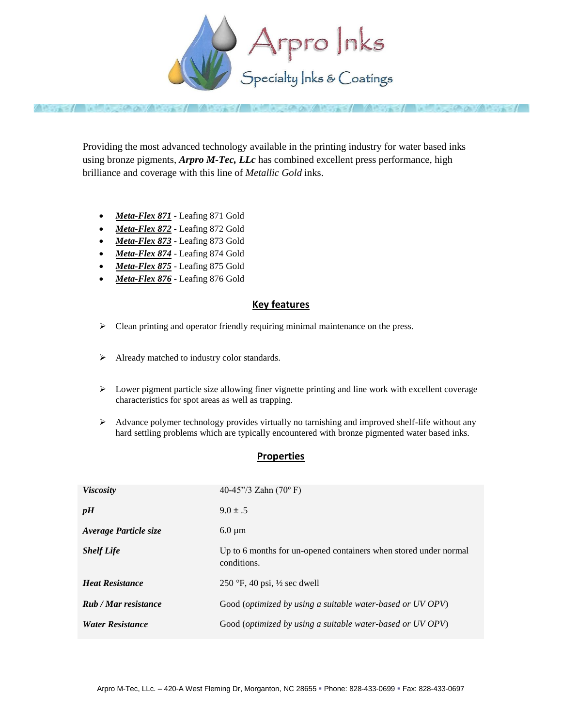

Providing the most advanced technology available in the printing industry for water based inks using bronze pigments, *Arpro M-Tec, LLc* has combined excellent press performance, high brilliance and coverage with this line of *Metallic Gold* inks.

- Meta-Flex 871 Leafing 871 Gold
- Meta-Flex 872 Leafing 872 Gold
- Meta-Flex 873 Leafing 873 Gold
- Meta-Flex 874 Leafing 874 Gold
- Meta-Flex 875 Leafing 875 Gold
- *Meta-Flex 876* Leafing 876 Gold

## **Key features**

- $\triangleright$  Clean printing and operator friendly requiring minimal maintenance on the press.
- > Already matched to industry color standards.
- $\triangleright$  Lower pigment particle size allowing finer vignette printing and line work with excellent coverage characteristics for spot areas as well as trapping.
- Advance polymer technology provides virtually no tarnishing and improved shelf-life without any hard settling problems which are typically encountered with bronze pigmented water based inks.

## **Properties**

| <b>Viscosity</b>            | 40-45"/3 Zahn $(70^{\circ} \text{ F})$                                          |
|-----------------------------|---------------------------------------------------------------------------------|
| pH                          | $9.0 \pm .5$                                                                    |
| Average Particle size       | $6.0 \mu m$                                                                     |
| <b>Shelf Life</b>           | Up to 6 months for un-opened containers when stored under normal<br>conditions. |
| <b>Heat Resistance</b>      | 250 °F, 40 psi, $\frac{1}{2}$ sec dwell                                         |
| <b>Rub</b> / Mar resistance | Good ( <i>optimized by using a suitable water-based or UV OPV</i> )             |
| <b>Water Resistance</b>     | Good (optimized by using a suitable water-based or UV OPV)                      |